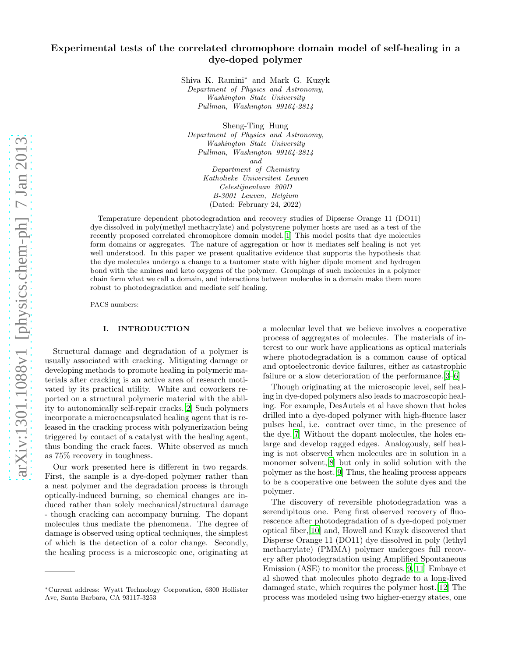Shiva K. Ramini<sup>∗</sup> and Mark G. Kuzyk Department of Physics and Astronomy, Washington State University Pullman, Washington 99164-2814

Sheng-Ting Hung Department of Physics and Astronomy, Washington State University Pullman, Washington 99164-2814 and Department of Chemistry Katholieke Universiteit Leuven Celestijnenlaan 200D B-3001 Leuven, Belgium (Dated: February 24, 2022)

Temperature dependent photodegradation and recovery studies of Dipserse Orange 11 (DO11) dye dissolved in poly(methyl methacrylate) and polystyrene polymer hosts are used as a test of the recently proposed correlated chromophore domain model.[\[1](#page-5-0)] This model posits that dye molecules form domains or aggregates. The nature of aggregation or how it mediates self healing is not yet well understood. In this paper we present qualitative evidence that supports the hypothesis that the dye molecules undergo a change to a tautomer state with higher dipole moment and hydrogen bond with the amines and keto oxygens of the polymer. Groupings of such molecules in a polymer chain form what we call a domain, and interactions between molecules in a domain make them more robust to photodegradation and mediate self healing.

PACS numbers:

# I. INTRODUCTION

Structural damage and degradation of a polymer is usually associated with cracking. Mitigating damage or developing methods to promote healing in polymeric materials after cracking is an active area of research motivated by its practical utility. White and coworkers reported on a structural polymeric material with the ability to autonomically self-repair cracks.[\[2\]](#page-5-1) Such polymers incorporate a microencapsulated healing agent that is released in the cracking process with polymerization being triggered by contact of a catalyst with the healing agent, thus bonding the crack faces. White observed as much as 75% recovery in toughness.

Our work presented here is different in two regards. First, the sample is a dye-doped polymer rather than a neat polymer and the degradation process is through optically-induced burning, so chemical changes are induced rather than solely mechanical/structural damage - though cracking can accompany burning. The dopant molecules thus mediate the phenomena. The degree of damage is observed using optical techniques, the simplest of which is the detection of a color change. Secondly, the healing process is a microscopic one, originating at

a molecular level that we believe involves a cooperative process of aggregates of molecules. The materials of interest to our work have applications as optical materials where photodegradation is a common cause of optical and optoelectronic device failures, either as catastrophic failure or a slow deterioration of the performance.[\[3](#page-5-2)[–6](#page-5-3)]

Though originating at the microscopic level, self healing in dye-doped polymers also leads to macroscopic healing. For example, DesAutels et al have shown that holes drilled into a dye-doped polymer with high-fluence laser pulses heal, i.e. contract over time, in the presence of the dye.[\[7\]](#page-5-4) Without the dopant molecules, the holes enlarge and develop ragged edges. Analogously, self healing is not observed when molecules are in solution in a monomer solvent,[\[8](#page-5-5)] but only in solid solution with the polymer as the host.[\[9\]](#page-5-6) Thus, the healing process appears to be a cooperative one between the solute dyes and the polymer.

The discovery of reversible photodegradation was a serendipitous one. Peng first observed recovery of fluorescence after photodegradation of a dye-doped polymer optical fiber,[\[10\]](#page-5-7) and, Howell and Kuzyk discovered that Disperse Orange 11 (DO11) dye dissolved in poly (lethyl methacrylate) (PMMA) polymer undergoes full recovery after photodegradation using Amplified Spontaneous Emission (ASE) to monitor the process.[\[9,](#page-5-6) [11](#page-5-8)] Embaye et al showed that molecules photo degrade to a long-lived damaged state, which requires the polymer host.[\[12](#page-5-9)] The process was modeled using two higher-energy states, one

<sup>∗</sup>Current address: Wyatt Technology Corporation, 6300 Hollister Ave, Santa Barbara, CA 93117-3253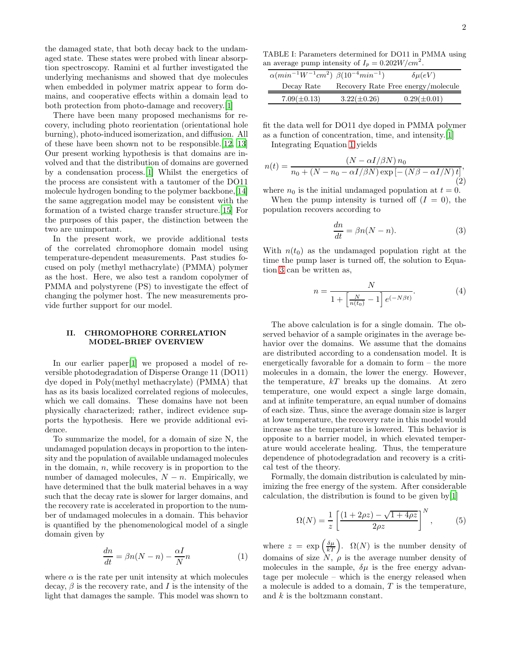the damaged state, that both decay back to the undamaged state. These states were probed with linear absorption spectroscopy. Ramini et al further investigated the underlying mechanisms and showed that dye molecules when embedded in polymer matrix appear to form domains, and cooperative effects within a domain lead to both protection from photo-damage and recovery.[\[1\]](#page-5-0)

There have been many proposed mechanisms for recovery, including photo reorientation (orientational hole burning), photo-induced isomerization, and diffusion. All of these have been shown not to be responsible.[\[12,](#page-5-9) [13](#page-5-10)] Our present working hypothesis is that domains are involved and that the distribution of domains are governed by a condensation process.[\[1\]](#page-5-0) Whilst the energetics of the process are consistent with a tautomer of the DO11 molecule hydrogen bonding to the polymer backbone,[\[14\]](#page-5-11) the same aggregation model may be consistent with the formation of a twisted charge transfer structure.[\[15](#page-5-12)] For the purposes of this paper, the distinction between the two are unimportant.

In the present work, we provide additional tests of the correlated chromophore domain model using temperature-dependent measurements. Past studies focused on poly (methyl methacrylate) (PMMA) polymer as the host. Here, we also test a random copolymer of PMMA and polystyrene (PS) to investigate the effect of changing the polymer host. The new measurements provide further support for our model.

# II. CHROMOPHORE CORRELATION MODEL-BRIEF OVERVIEW

In our earlier paper [\[1](#page-5-0)] we proposed a model of reversible photodegradation of Disperse Orange 11 (DO11) dye doped in Poly(methyl methacrylate) (PMMA) that has as its basis localized correlated regions of molecules, which we call domains. These domains have not been physically characterized; rather, indirect evidence supports the hypothesis. Here we provide additional evidence.

To summarize the model, for a domain of size N, the undamaged population decays in proportion to the intensity and the population of available undamaged molecules in the domain,  $n$ , while recovery is in proportion to the number of damaged molecules,  $N - n$ . Empirically, we have determined that the bulk material behaves in a way such that the decay rate is slower for larger domains, and the recovery rate is accelerated in proportion to the number of undamaged molecules in a domain. This behavior is quantified by the phenomenological model of a single domain given by

<span id="page-1-0"></span>
$$
\frac{dn}{dt} = \beta n(N - n) - \frac{\alpha I}{N}n\tag{1}
$$

where  $\alpha$  is the rate per unit intensity at which molecules decay,  $\beta$  is the recovery rate, and I is the intensity of the light that damages the sample. This model was shown to

TABLE I: Parameters determined for DO11 in PMMA using an average pump intensity of  $I_p = 0.202 W/cm^2$ .

<span id="page-1-4"></span>

| $\alpha(min^{-1}W^{-1}cm^2)$ $\beta(10^{-4}min^{-1})$ |                  | $\delta \mu(eV)$                   |
|-------------------------------------------------------|------------------|------------------------------------|
| Decay Rate                                            |                  | Recovery Rate Free energy/molecule |
| $7.09(\pm 0.13)$                                      | $3.22(\pm 0.26)$ | $0.29(\pm 0.01)$                   |

fit the data well for DO11 dye doped in PMMA polymer as a function of concentration, time, and intensity.[\[1\]](#page-5-0) Integrating Equation [1](#page-1-0) yields

(t)  $(N - \alpha I/\beta N) n_0$ 

<span id="page-1-2"></span>
$$
n(t) = \frac{1}{n_0 + (N - n_0 - \alpha I/\beta N) \exp\left[-\left(N\beta - \alpha I/N\right)t\right]},\tag{2}
$$

where  $n_0$  is the initial undamaged population at  $t = 0$ . When the pump intensity is turned off  $(I = 0)$ , the population recovers according to

<span id="page-1-1"></span>
$$
\frac{dn}{dt} = \beta n (N - n). \tag{3}
$$

With  $n(t_0)$  as the undamaged population right at the time the pump laser is turned off, the solution to Equation [3](#page-1-1) can be written as,

$$
n = \frac{N}{1 + \left[\frac{N}{n(t_0)} - 1\right]e^{(-N\beta t)}}.\tag{4}
$$

The above calculation is for a single domain. The observed behavior of a sample originates in the average behavior over the domains. We assume that the domains are distributed according to a condensation model. It is energetically favorable for a domain to form – the more molecules in a domain, the lower the energy. However, the temperature,  $kT$  breaks up the domains. At zero temperature, one would expect a single large domain, and at infinite temperature, an equal number of domains of each size. Thus, since the average domain size is larger at low temperature, the recovery rate in this model would increase as the temperature is lowered. This behavior is opposite to a barrier model, in which elevated temperature would accelerate healing. Thus, the temperature dependence of photodegradation and recovery is a critical test of the theory.

Formally, the domain distribution is calculated by minimizing the free energy of the system. After considerable calculation, the distribution is found to be given by[\[1\]](#page-5-0)

<span id="page-1-3"></span>
$$
\Omega(N) = \frac{1}{z} \left[ \frac{(1+2\rho z) - \sqrt{1+4\rho z}}{2\rho z} \right]^N, \tag{5}
$$

where  $z = \exp\left(\frac{\delta \mu}{kT}\right)$ .  $\Omega(N)$  is the number density of domains of size  $N, \rho$  is the average number density of molecules in the sample,  $\delta \mu$  is the free energy advantage per molecule – which is the energy released when a molecule is added to a domain, T is the temperature, and k is the boltzmann constant.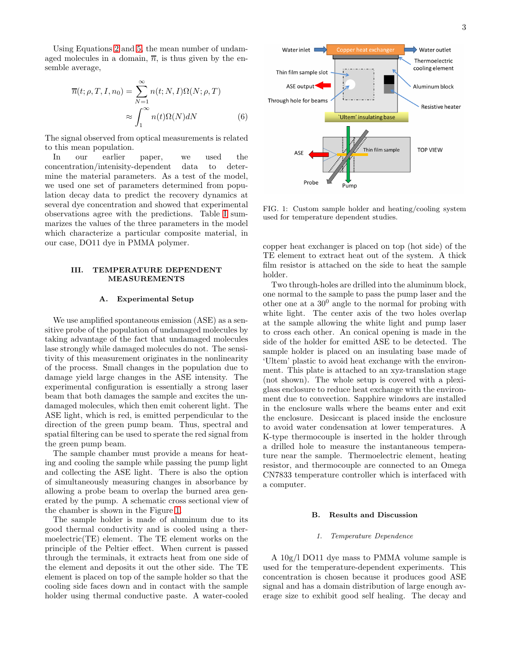Using Equations [2](#page-1-2) and [5,](#page-1-3) the mean number of undamaged molecules in a domain,  $\overline{n}$ , is thus given by the ensemble average,

$$
\overline{n}(t; \rho, T, I, n_0) = \sum_{N=1}^{\infty} n(t; N, I)\Omega(N; \rho, T)
$$

$$
\approx \int_{1}^{\infty} n(t)\Omega(N)dN
$$
(6)

The signal observed from optical measurements is related to this mean population.

In our earlier paper, we used the concentration/intenisity-dependent data to determine the material parameters. As a test of the model, we used one set of parameters determined from population decay data to predict the recovery dynamics at several dye concentration and showed that experimental observations agree with the predictions. Table [I](#page-1-4) summarizes the values of the three parameters in the model which characterize a particular composite material, in our case, DO11 dye in PMMA polymer.

# III. TEMPERATURE DEPENDENT MEASUREMENTS

### A. Experimental Setup

We use amplified spontaneous emission (ASE) as a sensitive probe of the population of undamaged molecules by taking advantage of the fact that undamaged molecules lase strongly while damaged molecules do not. The sensitivity of this measurement originates in the nonlinearity of the process. Small changes in the population due to damage yield large changes in the ASE intensity. The experimental configuration is essentially a strong laser beam that both damages the sample and excites the undamaged molecules, which then emit coherent light. The ASE light, which is red, is emitted perpendicular to the direction of the green pump beam. Thus, spectral and spatial filtering can be used to sperate the red signal from the green pump beam.

The sample chamber must provide a means for heating and cooling the sample while passing the pump light and collecting the ASE light. There is also the option of simultaneously measuring changes in absorbance by allowing a probe beam to overlap the burned area generated by the pump. A schematic cross sectional view of the chamber is shown in the Figure [1.](#page-2-0)

The sample holder is made of aluminum due to its good thermal conductivity and is cooled using a thermoelectric(TE) element. The TE element works on the principle of the Peltier effect. When current is passed through the terminals, it extracts heat from one side of the element and deposits it out the other side. The TE element is placed on top of the sample holder so that the cooling side faces down and in contact with the sample holder using thermal conductive paste. A water-cooled

<span id="page-2-1"></span>

<span id="page-2-0"></span>FIG. 1: Custom sample holder and heating/cooling system used for temperature dependent studies.

copper heat exchanger is placed on top (hot side) of the TE element to extract heat out of the system. A thick film resistor is attached on the side to heat the sample holder.

Two through-holes are drilled into the aluminum block, one normal to the sample to pass the pump laser and the other one at a  $30^0$  angle to the normal for probing with white light. The center axis of the two holes overlap at the sample allowing the white light and pump laser to cross each other. An conical opening is made in the side of the holder for emitted ASE to be detected. The sample holder is placed on an insulating base made of 'Ultem' plastic to avoid heat exchange with the environment. This plate is attached to an xyz-translation stage (not shown). The whole setup is covered with a plexiglass enclosure to reduce heat exchange with the environment due to convection. Sapphire windows are installed in the enclosure walls where the beams enter and exit the enclosure. Desiccant is placed inside the enclosure to avoid water condensation at lower temperatures. A K-type thermocouple is inserted in the holder through a drilled hole to measure the instantaneous temperature near the sample. Thermoelectric element, heating resistor, and thermocouple are connected to an Omega CN7833 temperature controller which is interfaced with a computer.

# B. Results and Discussion

#### 1. Temperature Dependence

A 10g/l DO11 dye mass to PMMA volume sample is used for the temperature-dependent experiments. This concentration is chosen because it produces good ASE signal and has a domain distribution of large enough average size to exhibit good self healing. The decay and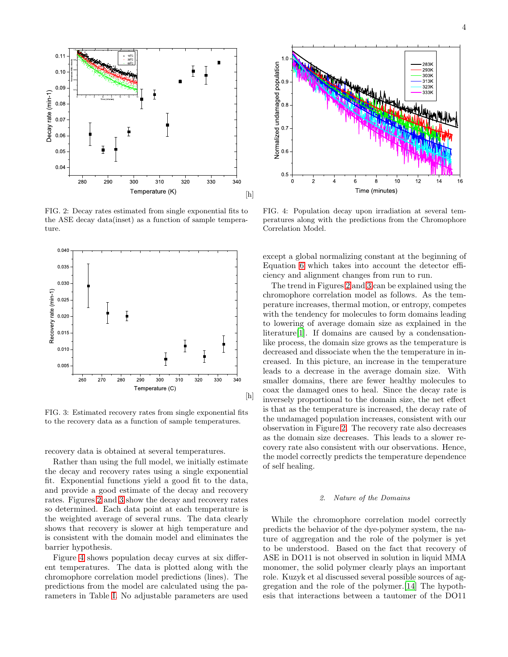

<span id="page-3-0"></span>FIG. 2: Decay rates estimated from single exponential fits to the ASE decay data(inset) as a function of sample temperature.



<span id="page-3-1"></span>FIG. 3: Estimated recovery rates from single exponential fits to the recovery data as a function of sample temperatures.

recovery data is obtained at several temperatures.

Rather than using the full model, we initially estimate the decay and recovery rates using a single exponential fit. Exponential functions yield a good fit to the data, and provide a good estimate of the decay and recovery rates. Figures [2](#page-3-0) and [3](#page-3-1) show the decay and recovery rates so determined. Each data point at each temperature is the weighted average of several runs. The data clearly shows that recovery is slower at high temperature and is consistent with the domain model and eliminates the barrier hypothesis.

Figure [4](#page-3-2) shows population decay curves at six different temperatures. The data is plotted along with the chromophore correlation model predictions (lines). The predictions from the model are calculated using the parameters in Table [I.](#page-1-4) No adjustable parameters are used



<span id="page-3-2"></span>FIG. 4: Population decay upon irradiation at several temperatures along with the predictions from the Chromophore Correlation Model.

except a global normalizing constant at the beginning of Equation [6](#page-2-1) which takes into account the detector efficiency and alignment changes from run to run.

The trend in Figures [2](#page-3-0) and [3](#page-3-1) can be explained using the chromophore correlation model as follows. As the temperature increases, thermal motion, or entropy, competes with the tendency for molecules to form domains leading to lowering of average domain size as explained in the literature[\[1](#page-5-0)]. If domains are caused by a condensationlike process, the domain size grows as the temperature is decreased and dissociate when the the temperature in increased. In this picture, an increase in the temperature leads to a decrease in the average domain size. With smaller domains, there are fewer healthy molecules to coax the damaged ones to heal. Since the decay rate is inversely proportional to the domain size, the net effect is that as the temperature is increased, the decay rate of the undamaged population increases, consistent with our observation in Figure [2.](#page-3-0) The recovery rate also decreases as the domain size decreases. This leads to a slower recovery rate also consistent with our observations. Hence, the model correctly predicts the temperature dependence of self healing.

#### 2. Nature of the Domains

While the chromophore correlation model correctly predicts the behavior of the dye-polymer system, the nature of aggregation and the role of the polymer is yet to be understood. Based on the fact that recovery of ASE in DO11 is not observed in solution in liquid MMA monomer, the solid polymer clearly plays an important role. Kuzyk et al discussed several possible sources of aggregation and the role of the polymer.[\[14](#page-5-11)] The hypothesis that interactions between a tautomer of the DO11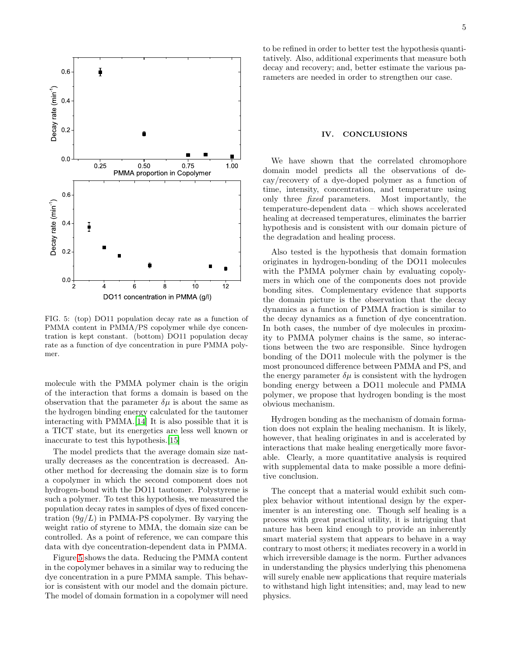

<span id="page-4-0"></span>FIG. 5: (top) DO11 population decay rate as a function of PMMA content in PMMA/PS copolymer while dye concentration is kept constant. (bottom) DO11 population decay rate as a function of dye concentration in pure PMMA polymer.

molecule with the PMMA polymer chain is the origin of the interaction that forms a domain is based on the observation that the parameter  $\delta \mu$  is about the same as the hydrogen binding energy calculated for the tautomer interacting with PMMA.[\[14](#page-5-11)] It is also possible that it is a TICT state, but its energetics are less well known or inaccurate to test this hypothesis.[\[15\]](#page-5-12)

The model predicts that the average domain size naturally decreases as the concentration is decreased. Another method for decreasing the domain size is to form a copolymer in which the second component does not hydrogen-bond with the DO11 tautomer. Polystyrene is such a polymer. To test this hypothesis, we measured the population decay rates in samples of dyes of fixed concentration  $(9g/L)$  in PMMA-PS copolymer. By varying the weight ratio of styrene to MMA, the domain size can be controlled. As a point of reference, we can compare this data with dye concentration-dependent data in PMMA.

Figure [5](#page-4-0) shows the data. Reducing the PMMA content in the copolymer behaves in a similar way to reducing the dye concentration in a pure PMMA sample. This behavior is consistent with our model and the domain picture. The model of domain formation in a copolymer will need to be refined in order to better test the hypothesis quantitatively. Also, additional experiments that measure both decay and recovery; and, better estimate the various parameters are needed in order to strengthen our case.

### IV. CONCLUSIONS

We have shown that the correlated chromophore domain model predicts all the observations of decay/recovery of a dye-doped polymer as a function of time, intensity, concentration, and temperature using only three fixed parameters. Most importantly, the temperature-dependent data – which shows accelerated healing at decreased temperatures, eliminates the barrier hypothesis and is consistent with our domain picture of the degradation and healing process.

Also tested is the hypothesis that domain formation originates in hydrogen-bonding of the DO11 molecules with the PMMA polymer chain by evaluating copolymers in which one of the components does not provide bonding sites. Complementary evidence that supports the domain picture is the observation that the decay dynamics as a function of PMMA fraction is similar to the decay dynamics as a function of dye concentration. In both cases, the number of dye molecules in proximity to PMMA polymer chains is the same, so interactions between the two are responsible. Since hydrogen bonding of the DO11 molecule with the polymer is the most pronounced difference between PMMA and PS, and the energy parameter  $\delta \mu$  is consistent with the hydrogen bonding energy between a DO11 molecule and PMMA polymer, we propose that hydrogen bonding is the most obvious mechanism.

Hydrogen bonding as the mechanism of domain formation does not explain the healing mechanism. It is likely, however, that healing originates in and is accelerated by interactions that make healing energetically more favorable. Clearly, a more quantitative analysis is required with supplemental data to make possible a more definitive conclusion.

The concept that a material would exhibit such complex behavior without intentional design by the experimenter is an interesting one. Though self healing is a process with great practical utility, it is intriguing that nature has been kind enough to provide an inherently smart material system that appears to behave in a way contrary to most others; it mediates recovery in a world in which irreversible damage is the norm. Further advances in understanding the physics underlying this phenomena will surely enable new applications that require materials to withstand high light intensities; and, may lead to new physics.